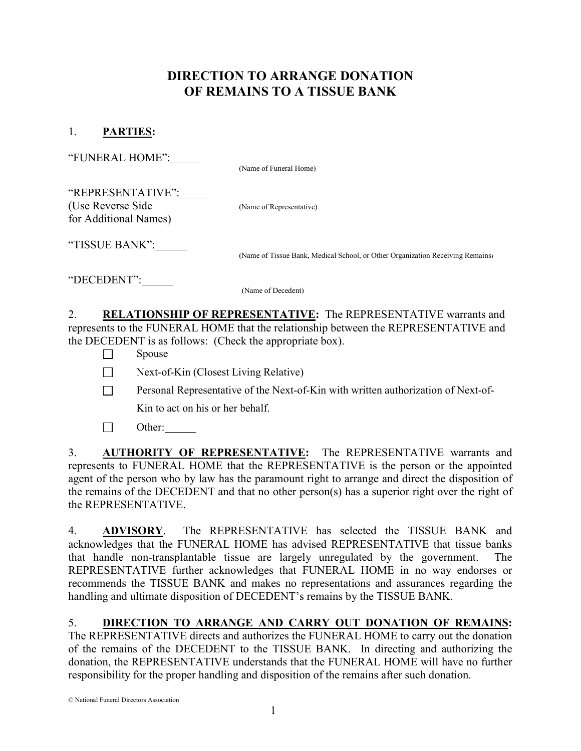# DIRECTION TO ARRANGE DONATION OF REMAINS TO A TISSUE BANK

## 1. PARTIES:

| "FUNERAL HOME":                                                  | (Name of Funeral Home)                                                         |
|------------------------------------------------------------------|--------------------------------------------------------------------------------|
| "REPRESENTATIVE":<br>(Use Reverse Side)<br>for Additional Names) | (Name of Representative)                                                       |
| "TISSUE BANK":                                                   | (Name of Tissue Bank, Medical School, or Other Organization Receiving Remains) |
| "DECEDENT":                                                      | (Name of Decedent)                                                             |
| $\overline{2}$                                                   | <b>RELATIONSHIP OF REPRESENTATIVE: The REPRESENTATIVE warrants an</b>          |

2. RELATIONSHIP OF REPRESENTATIVE: The REPRESENTATIVE warrants and represents to the FUNERAL HOME that the relationship between the REPRESENTATIVE and the DECEDENT is as follows: (Check the appropriate box).

- $\square$  Spouse
- $\Box$  Next-of-Kin (Closest Living Relative)
- Personal Representative of the Next-of-Kin with written authorization of Next-of- Kin to act on his or her behalf.
- □ Other:

3. AUTHORITY OF REPRESENTATIVE: The REPRESENTATIVE warrants and represents to FUNERAL HOME that the REPRESENTATIVE is the person or the appointed agent of the person who by law has the paramount right to arrange and direct the disposition of the remains of the DECEDENT and that no other person(s) has a superior right over the right of the REPRESENTATIVE.

4. ADVISORY. The REPRESENTATIVE has selected the TISSUE BANK and acknowledges that the FUNERAL HOME has advised REPRESENTATIVE that tissue banks that handle non-transplantable tissue are largely unregulated by the government. The REPRESENTATIVE further acknowledges that FUNERAL HOME in no way endorses or recommends the TISSUE BANK and makes no representations and assurances regarding the handling and ultimate disposition of DECEDENT's remains by the TISSUE BANK.

## 5. DIRECTION TO ARRANGE AND CARRY OUT DONATION OF REMAINS:

The REPRESENTATIVE directs and authorizes the FUNERAL HOME to carry out the donation of the remains of the DECEDENT to the TISSUE BANK. In directing and authorizing the donation, the REPRESENTATIVE understands that the FUNERAL HOME will have no further responsibility for the proper handling and disposition of the remains after such donation.